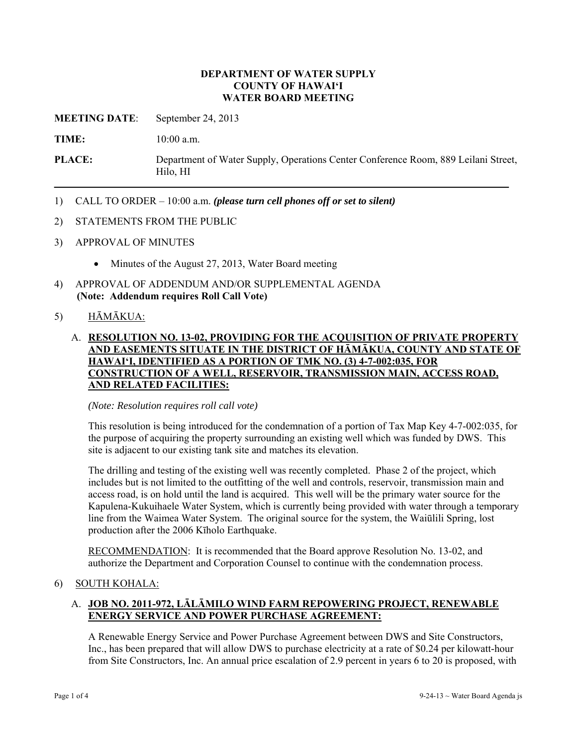#### **DEPARTMENT OF WATER SUPPLY COUNTY OF HAWAI'I WATER BOARD MEETING**

**MEETING DATE**: September 24, 2013

**TIME:** 10:00 a.m.

**PLACE:** Department of Water Supply, Operations Center Conference Room, 889 Leilani Street, Hilo, HI

- 1) CALL TO ORDER 10:00 a.m. *(please turn cell phones off or set to silent)*
- 2) STATEMENTS FROM THE PUBLIC
- 3) APPROVAL OF MINUTES
	- Minutes of the August 27, 2013, Water Board meeting
- 4) APPROVAL OF ADDENDUM AND/OR SUPPLEMENTAL AGENDA **(Note: Addendum requires Roll Call Vote)**

# 5) HĀMĀKUA:

# A. **RESOLUTION NO. 13-02, PROVIDING FOR THE ACQUISITION OF PRIVATE PROPERTY AND EASEMENTS SITUATE IN THE DISTRICT OF HĀMĀKUA, COUNTY AND STATE OF HAWAI'I, IDENTIFIED AS A PORTION OF TMK NO. (3) 4-7-002:035, FOR CONSTRUCTION OF A WELL, RESERVOIR, TRANSMISSION MAIN, ACCESS ROAD, AND RELATED FACILITIES:**

#### *(Note: Resolution requires roll call vote)*

This resolution is being introduced for the condemnation of a portion of Tax Map Key 4-7-002:035, for the purpose of acquiring the property surrounding an existing well which was funded by DWS. This site is adjacent to our existing tank site and matches its elevation.

The drilling and testing of the existing well was recently completed. Phase 2 of the project, which includes but is not limited to the outfitting of the well and controls, reservoir, transmission main and access road, is on hold until the land is acquired. This well will be the primary water source for the Kapulena-Kukuihaele Water System, which is currently being provided with water through a temporary line from the Waimea Water System. The original source for the system, the Waiūlili Spring, lost production after the 2006 Kīholo Earthquake.

RECOMMENDATION: It is recommended that the Board approve Resolution No. 13-02, and authorize the Department and Corporation Counsel to continue with the condemnation process.

### 6) SOUTH KOHALA:

# A. **JOB NO. 2011-972, LĀLĀMILO WIND FARM REPOWERING PROJECT, RENEWABLE ENERGY SERVICE AND POWER PURCHASE AGREEMENT:**

A Renewable Energy Service and Power Purchase Agreement between DWS and Site Constructors, Inc., has been prepared that will allow DWS to purchase electricity at a rate of \$0.24 per kilowatt-hour from Site Constructors, Inc. An annual price escalation of 2.9 percent in years 6 to 20 is proposed, with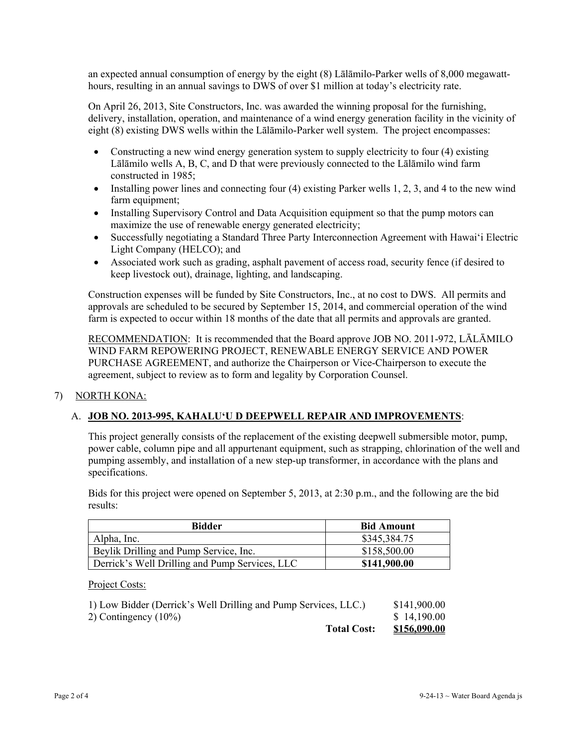an expected annual consumption of energy by the eight (8) Lālāmilo-Parker wells of 8,000 megawatthours, resulting in an annual savings to DWS of over \$1 million at today's electricity rate.

On April 26, 2013, Site Constructors, Inc. was awarded the winning proposal for the furnishing, delivery, installation, operation, and maintenance of a wind energy generation facility in the vicinity of eight (8) existing DWS wells within the Lālāmilo-Parker well system. The project encompasses:

- Constructing a new wind energy generation system to supply electricity to four (4) existing Lālāmilo wells A, B, C, and D that were previously connected to the Lālāmilo wind farm constructed in 1985;
- Installing power lines and connecting four  $(4)$  existing Parker wells 1, 2, 3, and 4 to the new wind farm equipment;
- Installing Supervisory Control and Data Acquisition equipment so that the pump motors can maximize the use of renewable energy generated electricity;
- Successfully negotiating a Standard Three Party Interconnection Agreement with Hawai'i Electric Light Company (HELCO); and
- Associated work such as grading, asphalt pavement of access road, security fence (if desired to keep livestock out), drainage, lighting, and landscaping.

Construction expenses will be funded by Site Constructors, Inc., at no cost to DWS. All permits and approvals are scheduled to be secured by September 15, 2014, and commercial operation of the wind farm is expected to occur within 18 months of the date that all permits and approvals are granted.

RECOMMENDATION: It is recommended that the Board approve JOB NO. 2011-972, LĀLĀMILO WIND FARM REPOWERING PROJECT, RENEWABLE ENERGY SERVICE AND POWER PURCHASE AGREEMENT, and authorize the Chairperson or Vice-Chairperson to execute the agreement, subject to review as to form and legality by Corporation Counsel.

### 7) NORTH KONA:

### A. **JOB NO. 2013-995, KAHALU'U D DEEPWELL REPAIR AND IMPROVEMENTS**:

This project generally consists of the replacement of the existing deepwell submersible motor, pump, power cable, column pipe and all appurtenant equipment, such as strapping, chlorination of the well and pumping assembly, and installation of a new step-up transformer, in accordance with the plans and specifications.

Bids for this project were opened on September 5, 2013, at 2:30 p.m., and the following are the bid results:

| <b>Bidder</b>                                  | <b>Bid Amount</b> |
|------------------------------------------------|-------------------|
| Alpha, Inc.                                    | \$345,384.75      |
| Beylik Drilling and Pump Service, Inc.         | \$158,500.00      |
| Derrick's Well Drilling and Pump Services, LLC | \$141,900.00      |

#### Project Costs:

| <b>Total Cost:</b>                                              | \$156,090.00 |
|-----------------------------------------------------------------|--------------|
| 2) Contingency $(10\%)$                                         | \$14,190.00  |
| 1) Low Bidder (Derrick's Well Drilling and Pump Services, LLC.) | \$141,900.00 |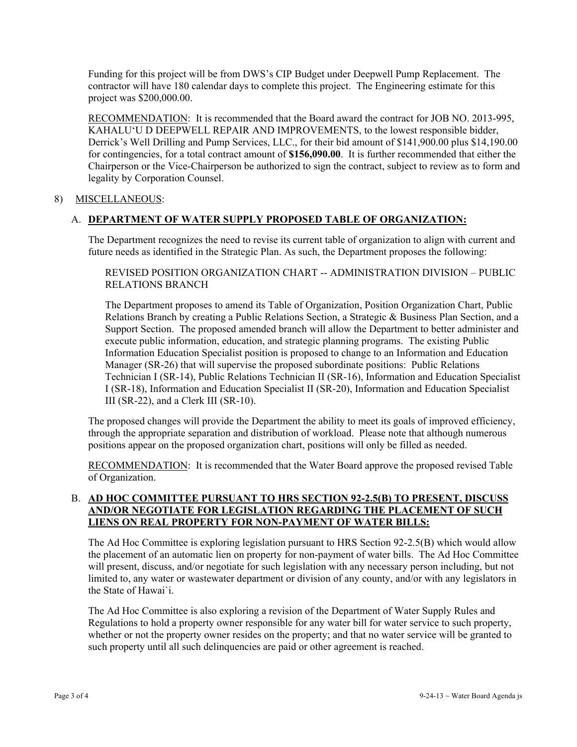Funding for this project will be from DWS's CIP Budget under Deepwell Pump Replacement. The contractor will have 180 calendar days to complete this project. The Engineering estimate for this project was \$200,000.00.

RECOMMENDATION: It is recommended that the Board award the contract for JOB NO. 2013-995, KAHALU'U D DEEPWELL REPAIR AND IMPROVEMENTS, to the lowest responsible bidder, Derrick's Well Drilling and Pump Services, LLC., for their bid amount of \$141,900.00 plus \$14,190.00 for contingencies, for a total contract amount of **\$156,090.00**. It is further recommended that either the Chairperson or the Vice-Chairperson be authorized to sign the contract, subject to review as to form and legality by Corporation Counsel.

### 8) MISCELLANEOUS:

# A. **DEPARTMENT OF WATER SUPPLY PROPOSED TABLE OF ORGANIZATION:**

The Department recognizes the need to revise its current table of organization to align with current and future needs as identified in the Strategic Plan. As such, the Department proposes the following:

REVISED POSITION ORGANIZATION CHART -- ADMINISTRATION DIVISION – PUBLIC RELATIONS BRANCH

The Department proposes to amend its Table of Organization, Position Organization Chart, Public Relations Branch by creating a Public Relations Section, a Strategic & Business Plan Section, and a Support Section. The proposed amended branch will allow the Department to better administer and execute public information, education, and strategic planning programs. The existing Public Information Education Specialist position is proposed to change to an Information and Education Manager (SR-26) that will supervise the proposed subordinate positions: Public Relations Technician I (SR-14), Public Relations Technician II (SR-16), Information and Education Specialist I (SR-18), Information and Education Specialist II (SR-20), Information and Education Specialist III (SR-22), and a Clerk III (SR-10).

The proposed changes will provide the Department the ability to meet its goals of improved efficiency, through the appropriate separation and distribution of workload. Please note that although numerous positions appear on the proposed organization chart, positions will only be filled as needed.

RECOMMENDATION: It is recommended that the Water Board approve the proposed revised Table of Organization.

# B. **AD HOC COMMITTEE PURSUANT TO HRS SECTION 92-2.5(B) TO PRESENT, DISCUSS AND/OR NEGOTIATE FOR LEGISLATION REGARDING THE PLACEMENT OF SUCH LIENS ON REAL PROPERTY FOR NON-PAYMENT OF WATER BILLS:**

The Ad Hoc Committee is exploring legislation pursuant to HRS Section 92-2.5(B) which would allow the placement of an automatic lien on property for non-payment of water bills. The Ad Hoc Committee will present, discuss, and/or negotiate for such legislation with any necessary person including, but not limited to, any water or wastewater department or division of any county, and/or with any legislators in the State of Hawai`i.

The Ad Hoc Committee is also exploring a revision of the Department of Water Supply Rules and Regulations to hold a property owner responsible for any water bill for water service to such property, whether or not the property owner resides on the property; and that no water service will be granted to such property until all such delinquencies are paid or other agreement is reached.